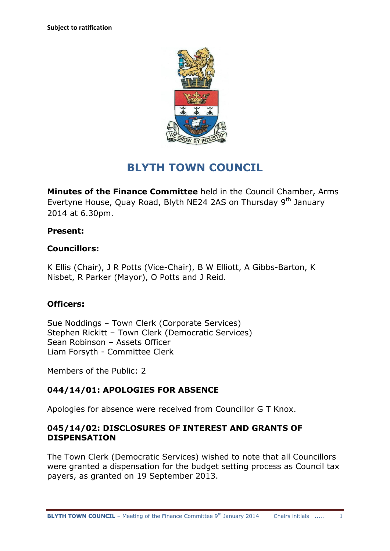

# **BLYTH TOWN COUNCIL**

**Minutes of the Finance Committee** held in the Council Chamber, Arms Evertyne House, Quay Road, Blyth NE24 2AS on Thursday 9<sup>th</sup> January 2014 at 6.30pm.

## **Present:**

#### **Councillors:**

K Ellis (Chair), J R Potts (Vice-Chair), B W Elliott, A Gibbs-Barton, K Nisbet, R Parker (Mayor), O Potts and J Reid.

## **Officers:**

Sue Noddings – Town Clerk (Corporate Services) Stephen Rickitt – Town Clerk (Democratic Services) Sean Robinson – Assets Officer Liam Forsyth - Committee Clerk

Members of the Public: 2

## **044/14/01: APOLOGIES FOR ABSENCE**

Apologies for absence were received from Councillor G T Knox.

#### **045/14/02: DISCLOSURES OF INTEREST AND GRANTS OF DISPENSATION**

The Town Clerk (Democratic Services) wished to note that all Councillors were granted a dispensation for the budget setting process as Council tax payers, as granted on 19 September 2013.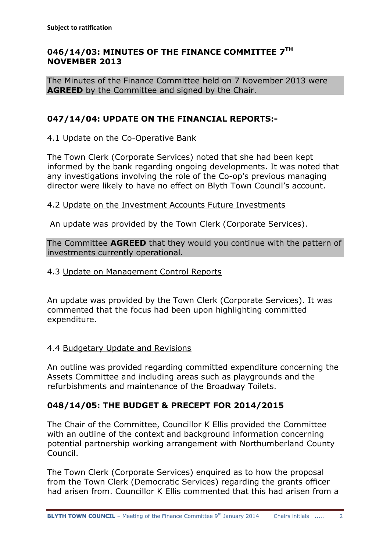## **046/14/03: MINUTES OF THE FINANCE COMMITTEE 7 TH NOVEMBER 2013**

The Minutes of the Finance Committee held on 7 November 2013 were **AGREED** by the Committee and signed by the Chair.

## **047/14/04: UPDATE ON THE FINANCIAL REPORTS:-**

#### 4.1 Update on the Co-Operative Bank

The Town Clerk (Corporate Services) noted that she had been kept informed by the bank regarding ongoing developments. It was noted that any investigations involving the role of the Co-op's previous managing director were likely to have no effect on Blyth Town Council's account.

#### 4.2 Update on the Investment Accounts Future Investments

An update was provided by the Town Clerk (Corporate Services).

The Committee **AGREED** that they would you continue with the pattern of investments currently operational.

#### 4.3 Update on Management Control Reports

An update was provided by the Town Clerk (Corporate Services). It was commented that the focus had been upon highlighting committed expenditure.

#### 4.4 Budgetary Update and Revisions

An outline was provided regarding committed expenditure concerning the Assets Committee and including areas such as playgrounds and the refurbishments and maintenance of the Broadway Toilets.

## **048/14/05: THE BUDGET & PRECEPT FOR 2014/2015**

The Chair of the Committee, Councillor K Ellis provided the Committee with an outline of the context and background information concerning potential partnership working arrangement with Northumberland County Council.

The Town Clerk (Corporate Services) enquired as to how the proposal from the Town Clerk (Democratic Services) regarding the grants officer had arisen from. Councillor K Ellis commented that this had arisen from a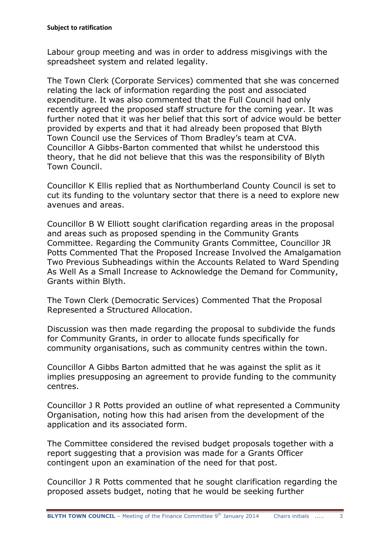Labour group meeting and was in order to address misgivings with the spreadsheet system and related legality.

The Town Clerk (Corporate Services) commented that she was concerned relating the lack of information regarding the post and associated expenditure. It was also commented that the Full Council had only recently agreed the proposed staff structure for the coming year. It was further noted that it was her belief that this sort of advice would be better provided by experts and that it had already been proposed that Blyth Town Council use the Services of Thom Bradley's team at CVA. Councillor A Gibbs-Barton commented that whilst he understood this theory, that he did not believe that this was the responsibility of Blyth Town Council.

Councillor K Ellis replied that as Northumberland County Council is set to cut its funding to the voluntary sector that there is a need to explore new avenues and areas.

Councillor B W Elliott sought clarification regarding areas in the proposal and areas such as proposed spending in the Community Grants Committee. Regarding the Community Grants Committee, Councillor JR Potts Commented That the Proposed Increase Involved the Amalgamation Two Previous Subheadings within the Accounts Related to Ward Spending As Well As a Small Increase to Acknowledge the Demand for Community, Grants within Blyth.

The Town Clerk (Democratic Services) Commented That the Proposal Represented a Structured Allocation.

Discussion was then made regarding the proposal to subdivide the funds for Community Grants, in order to allocate funds specifically for community organisations, such as community centres within the town.

Councillor A Gibbs Barton admitted that he was against the split as it implies presupposing an agreement to provide funding to the community centres.

Councillor J R Potts provided an outline of what represented a Community Organisation, noting how this had arisen from the development of the application and its associated form.

The Committee considered the revised budget proposals together with a report suggesting that a provision was made for a Grants Officer contingent upon an examination of the need for that post.

Councillor J R Potts commented that he sought clarification regarding the proposed assets budget, noting that he would be seeking further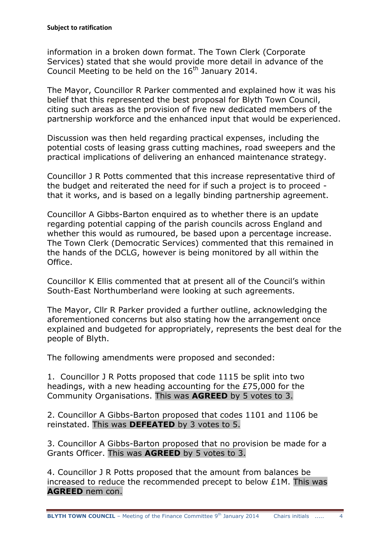information in a broken down format. The Town Clerk (Corporate Services) stated that she would provide more detail in advance of the Council Meeting to be held on the  $16<sup>th</sup>$  January 2014.

The Mayor, Councillor R Parker commented and explained how it was his belief that this represented the best proposal for Blyth Town Council, citing such areas as the provision of five new dedicated members of the partnership workforce and the enhanced input that would be experienced.

Discussion was then held regarding practical expenses, including the potential costs of leasing grass cutting machines, road sweepers and the practical implications of delivering an enhanced maintenance strategy.

Councillor J R Potts commented that this increase representative third of the budget and reiterated the need for if such a project is to proceed that it works, and is based on a legally binding partnership agreement.

Councillor A Gibbs-Barton enquired as to whether there is an update regarding potential capping of the parish councils across England and whether this would as rumoured, be based upon a percentage increase. The Town Clerk (Democratic Services) commented that this remained in the hands of the DCLG, however is being monitored by all within the Office.

Councillor K Ellis commented that at present all of the Council's within South-East Northumberland were looking at such agreements.

The Mayor, Cllr R Parker provided a further outline, acknowledging the aforementioned concerns but also stating how the arrangement once explained and budgeted for appropriately, represents the best deal for the people of Blyth.

The following amendments were proposed and seconded:

1. Councillor J R Potts proposed that code 1115 be split into two headings, with a new heading accounting for the £75,000 for the Community Organisations. This was **AGREED** by 5 votes to 3.

2. Councillor A Gibbs-Barton proposed that codes 1101 and 1106 be reinstated. This was **DEFEATED** by 3 votes to 5.

3. Councillor A Gibbs-Barton proposed that no provision be made for a Grants Officer. This was **AGREED** by 5 votes to 3.

4. Councillor J R Potts proposed that the amount from balances be increased to reduce the recommended precept to below £1M. This was **AGREED** nem con.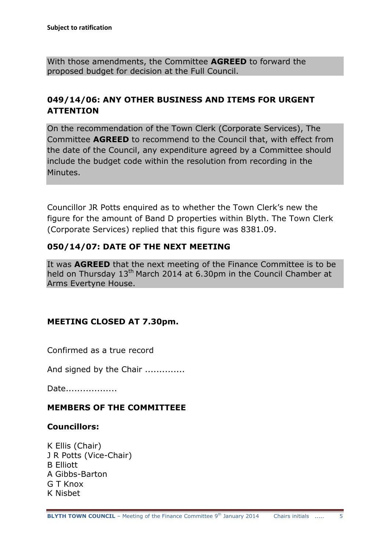With those amendments, the Committee **AGREED** to forward the proposed budget for decision at the Full Council.

## **049/14/06: ANY OTHER BUSINESS AND ITEMS FOR URGENT ATTENTION**

On the recommendation of the Town Clerk (Corporate Services), The Committee **AGREED** to recommend to the Council that, with effect from the date of the Council, any expenditure agreed by a Committee should include the budget code within the resolution from recording in the Minutes.

Councillor JR Potts enquired as to whether the Town Clerk's new the figure for the amount of Band D properties within Blyth. The Town Clerk (Corporate Services) replied that this figure was 8381.09.

#### **050/14/07: DATE OF THE NEXT MEETING**

It was **AGREED** that the next meeting of the Finance Committee is to be held on Thursday 13<sup>th</sup> March 2014 at 6.30pm in the Council Chamber at Arms Evertyne House.

#### **MEETING CLOSED AT 7.30pm.**

Confirmed as a true record

And signed by the Chair ..............

Date..................

#### **MEMBERS OF THE COMMITTEEE**

#### **Councillors:**

K Ellis (Chair) J R Potts (Vice-Chair) B Elliott A Gibbs-Barton G T Knox K Nisbet